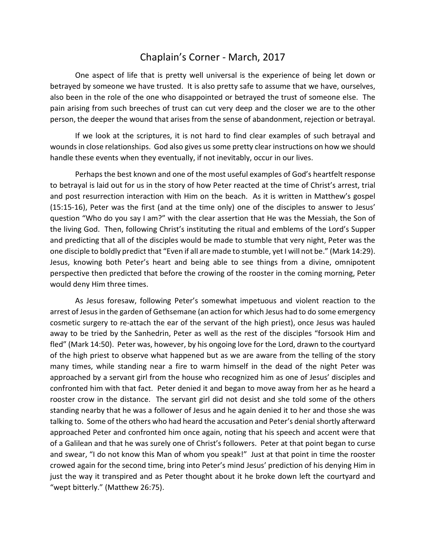## Chaplain's Corner - March, 2017

 One aspect of life that is pretty well universal is the experience of being let down or betrayed by someone we have trusted. It is also pretty safe to assume that we have, ourselves, also been in the role of the one who disappointed or betrayed the trust of someone else. The pain arising from such breeches of trust can cut very deep and the closer we are to the other person, the deeper the wound that arises from the sense of abandonment, rejection or betrayal.

 If we look at the scriptures, it is not hard to find clear examples of such betrayal and wounds in close relationships. God also gives us some pretty clear instructions on how we should handle these events when they eventually, if not inevitably, occur in our lives.

 Perhaps the best known and one of the most useful examples of God's heartfelt response to betrayal is laid out for us in the story of how Peter reacted at the time of Christ's arrest, trial and post resurrection interaction with Him on the beach. As it is written in Matthew's gospel (15:15-16), Peter was the first (and at the time only) one of the disciples to answer to Jesus' question "Who do you say I am?" with the clear assertion that He was the Messiah, the Son of the living God. Then, following Christ's instituting the ritual and emblems of the Lord's Supper and predicting that all of the disciples would be made to stumble that very night, Peter was the one disciple to boldly predict that "Even if all are made to stumble, yet I will not be." (Mark 14:29). Jesus, knowing both Peter's heart and being able to see things from a divine, omnipotent perspective then predicted that before the crowing of the rooster in the coming morning, Peter would deny Him three times.

 As Jesus foresaw, following Peter's somewhat impetuous and violent reaction to the arrest of Jesus in the garden of Gethsemane (an action for which Jesus had to do some emergency cosmetic surgery to re-attach the ear of the servant of the high priest), once Jesus was hauled away to be tried by the Sanhedrin, Peter as well as the rest of the disciples "forsook Him and fled" (Mark 14:50). Peter was, however, by his ongoing love for the Lord, drawn to the courtyard of the high priest to observe what happened but as we are aware from the telling of the story many times, while standing near a fire to warm himself in the dead of the night Peter was approached by a servant girl from the house who recognized him as one of Jesus' disciples and confronted him with that fact. Peter denied it and began to move away from her as he heard a rooster crow in the distance. The servant girl did not desist and she told some of the others standing nearby that he was a follower of Jesus and he again denied it to her and those she was talking to. Some of the others who had heard the accusation and Peter's denial shortly afterward approached Peter and confronted him once again, noting that his speech and accent were that of a Galilean and that he was surely one of Christ's followers. Peter at that point began to curse and swear, "I do not know this Man of whom you speak!" Just at that point in time the rooster crowed again for the second time, bring into Peter's mind Jesus' prediction of his denying Him in just the way it transpired and as Peter thought about it he broke down left the courtyard and "wept bitterly." (Matthew 26:75).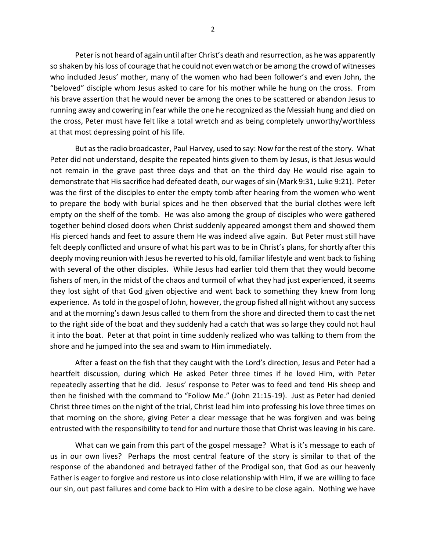Peter is not heard of again until after Christ's death and resurrection, as he was apparently so shaken by his loss of courage that he could not even watch or be among the crowd of witnesses who included Jesus' mother, many of the women who had been follower's and even John, the "beloved" disciple whom Jesus asked to care for his mother while he hung on the cross. From his brave assertion that he would never be among the ones to be scattered or abandon Jesus to running away and cowering in fear while the one he recognized as the Messiah hung and died on the cross, Peter must have felt like a total wretch and as being completely unworthy/worthless at that most depressing point of his life.

 But as the radio broadcaster, Paul Harvey, used to say: Now for the rest of the story. What Peter did not understand, despite the repeated hints given to them by Jesus, is that Jesus would not remain in the grave past three days and that on the third day He would rise again to demonstrate that His sacrifice had defeated death, our wages of sin (Mark 9:31, Luke 9:21). Peter was the first of the disciples to enter the empty tomb after hearing from the women who went to prepare the body with burial spices and he then observed that the burial clothes were left empty on the shelf of the tomb. He was also among the group of disciples who were gathered together behind closed doors when Christ suddenly appeared amongst them and showed them His pierced hands and feet to assure them He was indeed alive again. But Peter must still have felt deeply conflicted and unsure of what his part was to be in Christ's plans, for shortly after this deeply moving reunion with Jesus he reverted to his old, familiar lifestyle and went back to fishing with several of the other disciples. While Jesus had earlier told them that they would become fishers of men, in the midst of the chaos and turmoil of what they had just experienced, it seems they lost sight of that God given objective and went back to something they knew from long experience. As told in the gospel of John, however, the group fished all night without any success and at the morning's dawn Jesus called to them from the shore and directed them to cast the net to the right side of the boat and they suddenly had a catch that was so large they could not haul it into the boat. Peter at that point in time suddenly realized who was talking to them from the shore and he jumped into the sea and swam to Him immediately.

 After a feast on the fish that they caught with the Lord's direction, Jesus and Peter had a heartfelt discussion, during which He asked Peter three times if he loved Him, with Peter repeatedly asserting that he did. Jesus' response to Peter was to feed and tend His sheep and then he finished with the command to "Follow Me." (John 21:15-19). Just as Peter had denied Christ three times on the night of the trial, Christ lead him into professing his love three times on that morning on the shore, giving Peter a clear message that he was forgiven and was being entrusted with the responsibility to tend for and nurture those that Christ was leaving in his care.

 What can we gain from this part of the gospel message? What is it's message to each of us in our own lives? Perhaps the most central feature of the story is similar to that of the response of the abandoned and betrayed father of the Prodigal son, that God as our heavenly Father is eager to forgive and restore us into close relationship with Him, if we are willing to face our sin, out past failures and come back to Him with a desire to be close again. Nothing we have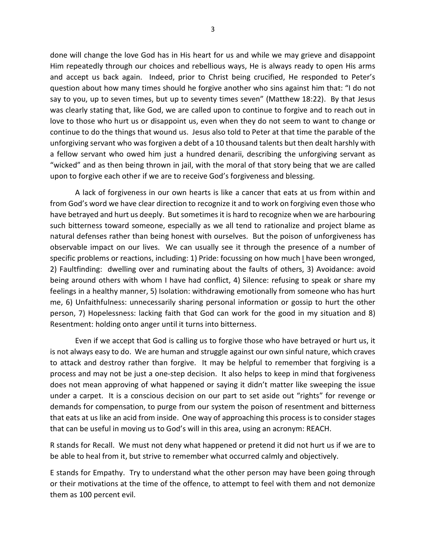done will change the love God has in His heart for us and while we may grieve and disappoint Him repeatedly through our choices and rebellious ways, He is always ready to open His arms and accept us back again. Indeed, prior to Christ being crucified, He responded to Peter's question about how many times should he forgive another who sins against him that: "I do not say to you, up to seven times, but up to seventy times seven" (Matthew 18:22). By that Jesus was clearly stating that, like God, we are called upon to continue to forgive and to reach out in love to those who hurt us or disappoint us, even when they do not seem to want to change or continue to do the things that wound us. Jesus also told to Peter at that time the parable of the unforgiving servant who was forgiven a debt of a 10 thousand talents but then dealt harshly with a fellow servant who owed him just a hundred denarii, describing the unforgiving servant as "wicked" and as then being thrown in jail, with the moral of that story being that we are called upon to forgive each other if we are to receive God's forgiveness and blessing.

 A lack of forgiveness in our own hearts is like a cancer that eats at us from within and from God's word we have clear direction to recognize it and to work on forgiving even those who have betrayed and hurt us deeply. But sometimes it is hard to recognize when we are harbouring such bitterness toward someone, especially as we all tend to rationalize and project blame as natural defenses rather than being honest with ourselves. But the poison of unforgiveness has observable impact on our lives. We can usually see it through the presence of a number of specific problems or reactions, including: 1) Pride: focussing on how much I have been wronged, 2) Faultfinding: dwelling over and ruminating about the faults of others, 3) Avoidance: avoid being around others with whom I have had conflict, 4) Silence: refusing to speak or share my feelings in a healthy manner, 5) Isolation: withdrawing emotionally from someone who has hurt me, 6) Unfaithfulness: unnecessarily sharing personal information or gossip to hurt the other person, 7) Hopelessness: lacking faith that God can work for the good in my situation and 8) Resentment: holding onto anger until it turns into bitterness.

 Even if we accept that God is calling us to forgive those who have betrayed or hurt us, it is not always easy to do. We are human and struggle against our own sinful nature, which craves to attack and destroy rather than forgive. It may be helpful to remember that forgiving is a process and may not be just a one-step decision. It also helps to keep in mind that forgiveness does not mean approving of what happened or saying it didn't matter like sweeping the issue under a carpet. It is a conscious decision on our part to set aside out "rights" for revenge or demands for compensation, to purge from our system the poison of resentment and bitterness that eats at us like an acid from inside. One way of approaching this process is to consider stages that can be useful in moving us to God's will in this area, using an acronym: REACH.

R stands for Recall. We must not deny what happened or pretend it did not hurt us if we are to be able to heal from it, but strive to remember what occurred calmly and objectively.

E stands for Empathy. Try to understand what the other person may have been going through or their motivations at the time of the offence, to attempt to feel with them and not demonize them as 100 percent evil.